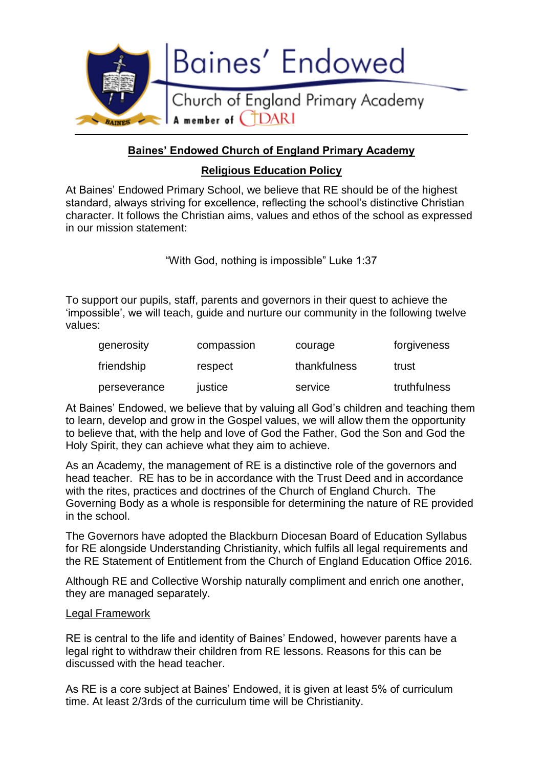

### **Baines' Endowed Church of England Primary Academy**

### **Religious Education Policy**

At Baines' Endowed Primary School, we believe that RE should be of the highest standard, always striving for excellence, reflecting the school's distinctive Christian character. It follows the Christian aims, values and ethos of the school as expressed in our mission statement:

"With God, nothing is impossible" Luke 1:37

To support our pupils, staff, parents and governors in their quest to achieve the 'impossible', we will teach, guide and nurture our community in the following twelve values:

| generosity   | compassion | courage      | forgiveness  |
|--------------|------------|--------------|--------------|
| friendship   | respect    | thankfulness | trust        |
| perseverance | justice    | service      | truthfulness |

At Baines' Endowed, we believe that by valuing all God's children and teaching them to learn, develop and grow in the Gospel values, we will allow them the opportunity to believe that, with the help and love of God the Father, God the Son and God the Holy Spirit, they can achieve what they aim to achieve.

As an Academy, the management of RE is a distinctive role of the governors and head teacher. RE has to be in accordance with the Trust Deed and in accordance with the rites, practices and doctrines of the Church of England Church. The Governing Body as a whole is responsible for determining the nature of RE provided in the school.

The Governors have adopted the Blackburn Diocesan Board of Education Syllabus for RE alongside Understanding Christianity, which fulfils all legal requirements and the RE Statement of Entitlement from the Church of England Education Office 2016.

Although RE and Collective Worship naturally compliment and enrich one another, they are managed separately.

#### Legal Framework

RE is central to the life and identity of Baines' Endowed, however parents have a legal right to withdraw their children from RE lessons. Reasons for this can be discussed with the head teacher.

As RE is a core subject at Baines' Endowed, it is given at least 5% of curriculum time. At least 2/3rds of the curriculum time will be Christianity.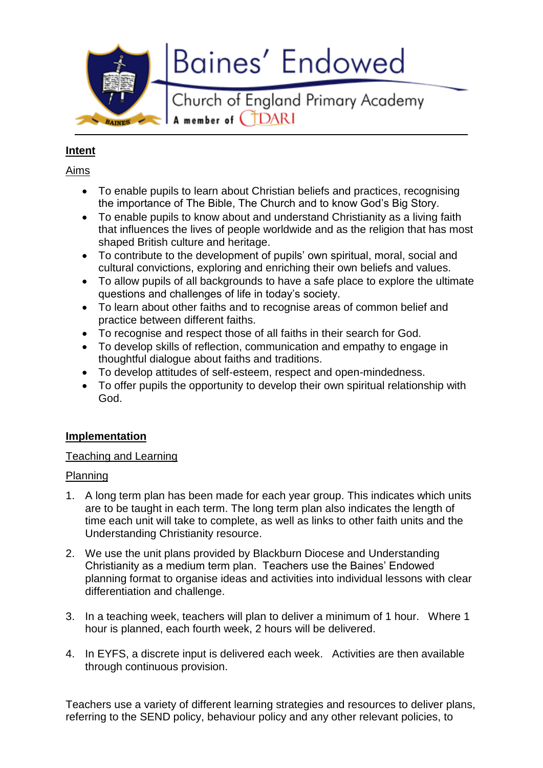**Baines' Endowed** 

Church of England Primary Academy A member of CTDARI

### **Intent**

BAINES

### Aims

- To enable pupils to learn about Christian beliefs and practices, recognising the importance of The Bible, The Church and to know God's Big Story.
- To enable pupils to know about and understand Christianity as a living faith that influences the lives of people worldwide and as the religion that has most shaped British culture and heritage.
- To contribute to the development of pupils' own spiritual, moral, social and cultural convictions, exploring and enriching their own beliefs and values.
- To allow pupils of all backgrounds to have a safe place to explore the ultimate questions and challenges of life in today's society.
- To learn about other faiths and to recognise areas of common belief and practice between different faiths.
- To recognise and respect those of all faiths in their search for God.
- To develop skills of reflection, communication and empathy to engage in thoughtful dialogue about faiths and traditions.
- To develop attitudes of self-esteem, respect and open-mindedness.
- To offer pupils the opportunity to develop their own spiritual relationship with God.

# **Implementation**

# Teaching and Learning

### Planning

- 1. A long term plan has been made for each year group. This indicates which units are to be taught in each term. The long term plan also indicates the length of time each unit will take to complete, as well as links to other faith units and the Understanding Christianity resource.
- 2. We use the unit plans provided by Blackburn Diocese and Understanding Christianity as a medium term plan. Teachers use the Baines' Endowed planning format to organise ideas and activities into individual lessons with clear differentiation and challenge.
- 3. In a teaching week, teachers will plan to deliver a minimum of 1 hour. Where 1 hour is planned, each fourth week, 2 hours will be delivered.
- 4. In EYFS, a discrete input is delivered each week. Activities are then available through continuous provision.

Teachers use a variety of different learning strategies and resources to deliver plans, referring to the SEND policy, behaviour policy and any other relevant policies, to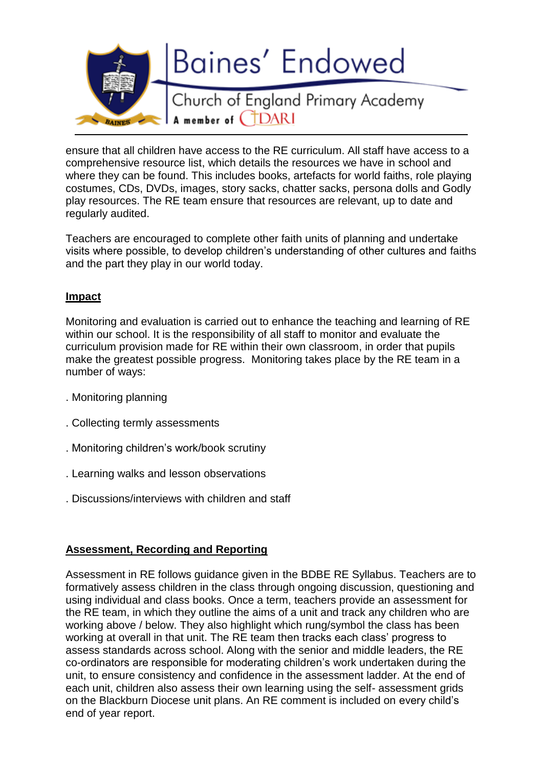

ensure that all children have access to the RE curriculum. All staff have access to a comprehensive resource list, which details the resources we have in school and where they can be found. This includes books, artefacts for world faiths, role playing costumes, CDs, DVDs, images, story sacks, chatter sacks, persona dolls and Godly play resources. The RE team ensure that resources are relevant, up to date and regularly audited.

Teachers are encouraged to complete other faith units of planning and undertake visits where possible, to develop children's understanding of other cultures and faiths and the part they play in our world today.

#### **Impact**

Monitoring and evaluation is carried out to enhance the teaching and learning of RE within our school. It is the responsibility of all staff to monitor and evaluate the curriculum provision made for RE within their own classroom, in order that pupils make the greatest possible progress. Monitoring takes place by the RE team in a number of ways:

- . Monitoring planning
- . Collecting termly assessments
- . Monitoring children's work/book scrutiny
- . Learning walks and lesson observations
- . Discussions/interviews with children and staff

### **Assessment, Recording and Reporting**

Assessment in RE follows guidance given in the BDBE RE Syllabus. Teachers are to formatively assess children in the class through ongoing discussion, questioning and using individual and class books. Once a term, teachers provide an assessment for the RE team, in which they outline the aims of a unit and track any children who are working above / below. They also highlight which rung/symbol the class has been working at overall in that unit. The RE team then tracks each class' progress to assess standards across school. Along with the senior and middle leaders, the RE co-ordinators are responsible for moderating children's work undertaken during the unit, to ensure consistency and confidence in the assessment ladder. At the end of each unit, children also assess their own learning using the self- assessment grids on the Blackburn Diocese unit plans. An RE comment is included on every child's end of year report.